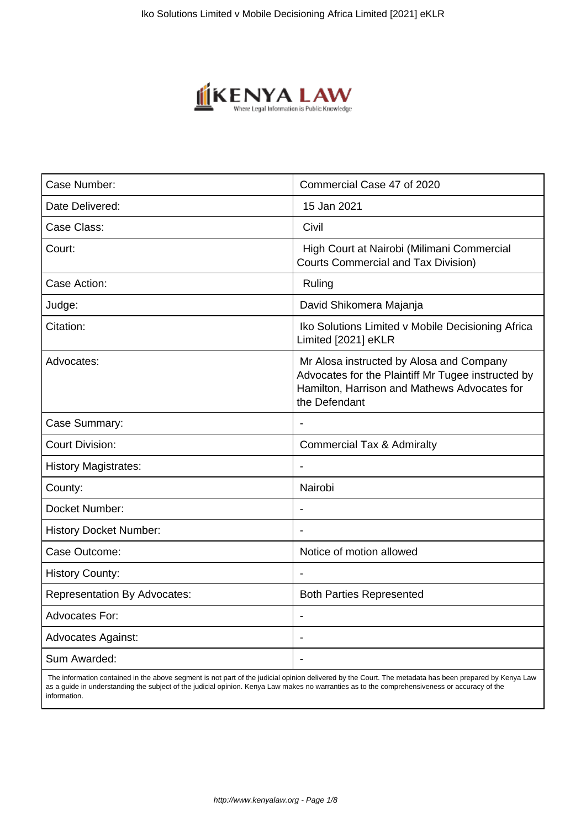

| Commercial Case 47 of 2020                                                                                                                                      |
|-----------------------------------------------------------------------------------------------------------------------------------------------------------------|
| 15 Jan 2021                                                                                                                                                     |
| Civil                                                                                                                                                           |
| High Court at Nairobi (Milimani Commercial<br><b>Courts Commercial and Tax Division)</b>                                                                        |
| Ruling                                                                                                                                                          |
| David Shikomera Majanja                                                                                                                                         |
| Iko Solutions Limited v Mobile Decisioning Africa<br>Limited [2021] eKLR                                                                                        |
| Mr Alosa instructed by Alosa and Company<br>Advocates for the Plaintiff Mr Tugee instructed by<br>Hamilton, Harrison and Mathews Advocates for<br>the Defendant |
|                                                                                                                                                                 |
| <b>Commercial Tax &amp; Admiralty</b>                                                                                                                           |
|                                                                                                                                                                 |
| Nairobi                                                                                                                                                         |
|                                                                                                                                                                 |
|                                                                                                                                                                 |
| Notice of motion allowed                                                                                                                                        |
|                                                                                                                                                                 |
| <b>Both Parties Represented</b>                                                                                                                                 |
| $\overline{\phantom{a}}$                                                                                                                                        |
| $\overline{\phantom{a}}$                                                                                                                                        |
|                                                                                                                                                                 |
|                                                                                                                                                                 |

 The information contained in the above segment is not part of the judicial opinion delivered by the Court. The metadata has been prepared by Kenya Law as a guide in understanding the subject of the judicial opinion. Kenya Law makes no warranties as to the comprehensiveness or accuracy of the information.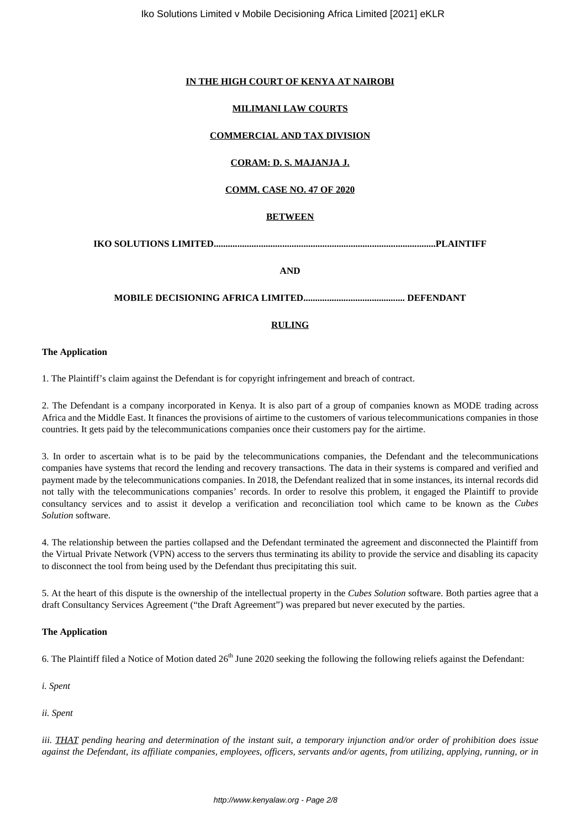### **IN THE HIGH COURT OF KENYA AT NAIROBI**

### **MILIMANI LAW COURTS**

### **COMMERCIAL AND TAX DIVISION**

# **CORAM: D. S. MAJANJA J.**

## **COMM. CASE NO. 47 OF 2020**

#### **BETWEEN**

**IKO SOLUTIONS LIMITED..............................................................................................PLAINTIFF**

**AND**

## **MOBILE DECISIONING AFRICA LIMITED........................................... DEFENDANT**

#### **RULING**

#### **The Application**

1. The Plaintiff's claim against the Defendant is for copyright infringement and breach of contract.

2. The Defendant is a company incorporated in Kenya. It is also part of a group of companies known as MODE trading across Africa and the Middle East. It finances the provisions of airtime to the customers of various telecommunications companies in those countries. It gets paid by the telecommunications companies once their customers pay for the airtime.

3. In order to ascertain what is to be paid by the telecommunications companies, the Defendant and the telecommunications companies have systems that record the lending and recovery transactions. The data in their systems is compared and verified and payment made by the telecommunications companies. In 2018, the Defendant realized that in some instances, its internal records did not tally with the telecommunications companies' records. In order to resolve this problem, it engaged the Plaintiff to provide consultancy services and to assist it develop a verification and reconciliation tool which came to be known as the *Cubes Solution* software.

4. The relationship between the parties collapsed and the Defendant terminated the agreement and disconnected the Plaintiff from the Virtual Private Network (VPN) access to the servers thus terminating its ability to provide the service and disabling its capacity to disconnect the tool from being used by the Defendant thus precipitating this suit.

5. At the heart of this dispute is the ownership of the intellectual property in the *Cubes Solution* software. Both parties agree that a draft Consultancy Services Agreement ("the Draft Agreement") was prepared but never executed by the parties.

#### **The Application**

6. The Plaintiff filed a Notice of Motion dated  $26<sup>th</sup>$  June 2020 seeking the following the following reliefs against the Defendant:

*i. Spent* 

*ii. Spent*

*iii. THAT pending hearing and determination of the instant suit, a temporary injunction and/or order of prohibition does issue against the Defendant, its affiliate companies, employees, officers, servants and/or agents, from utilizing, applying, running, or in*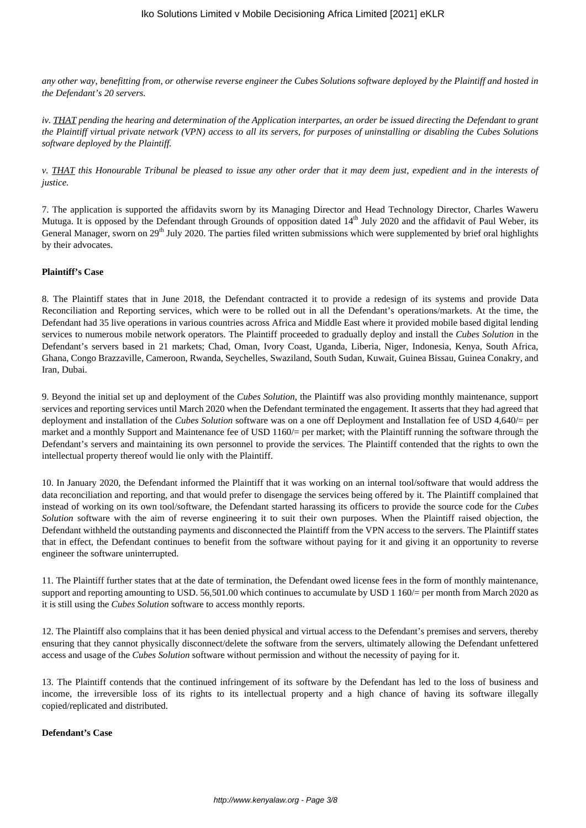*any other way, benefitting from, or otherwise reverse engineer the Cubes Solutions software deployed by the Plaintiff and hosted in the Defendant's 20 servers.*

*iv. THAT pending the hearing and determination of the Application interpartes, an order be issued directing the Defendant to grant the Plaintiff virtual private network (VPN) access to all its servers, for purposes of uninstalling or disabling the Cubes Solutions software deployed by the Plaintiff.*

*v. THAT this Honourable Tribunal be pleased to issue any other order that it may deem just, expedient and in the interests of justice.*

7. The application is supported the affidavits sworn by its Managing Director and Head Technology Director, Charles Waweru Mutuga. It is opposed by the Defendant through Grounds of opposition dated  $14<sup>th</sup>$  July 2020 and the affidavit of Paul Weber, its General Manager, sworn on 29<sup>th</sup> July 2020. The parties filed written submissions which were supplemented by brief oral highlights by their advocates.

### **Plaintiff's Case**

8. The Plaintiff states that in June 2018, the Defendant contracted it to provide a redesign of its systems and provide Data Reconciliation and Reporting services, which were to be rolled out in all the Defendant's operations/markets. At the time, the Defendant had 35 live operations in various countries across Africa and Middle East where it provided mobile based digital lending services to numerous mobile network operators. The Plaintiff proceeded to gradually deploy and install the *Cubes Solution* in the Defendant's servers based in 21 markets; Chad, Oman, Ivory Coast, Uganda, Liberia, Niger, Indonesia, Kenya, South Africa, Ghana, Congo Brazzaville, Cameroon, Rwanda, Seychelles, Swaziland, South Sudan, Kuwait, Guinea Bissau, Guinea Conakry, and Iran, Dubai.

9. Beyond the initial set up and deployment of the *Cubes Solution*, the Plaintiff was also providing monthly maintenance, support services and reporting services until March 2020 when the Defendant terminated the engagement. It asserts that they had agreed that deployment and installation of the *Cubes Solution* software was on a one off Deployment and Installation fee of USD 4,640/= per market and a monthly Support and Maintenance fee of USD 1160/= per market; with the Plaintiff running the software through the Defendant's servers and maintaining its own personnel to provide the services. The Plaintiff contended that the rights to own the intellectual property thereof would lie only with the Plaintiff.

10. In January 2020, the Defendant informed the Plaintiff that it was working on an internal tool/software that would address the data reconciliation and reporting, and that would prefer to disengage the services being offered by it. The Plaintiff complained that instead of working on its own tool/software, the Defendant started harassing its officers to provide the source code for the *Cubes Solution* software with the aim of reverse engineering it to suit their own purposes. When the Plaintiff raised objection, the Defendant withheld the outstanding payments and disconnected the Plaintiff from the VPN access to the servers. The Plaintiff states that in effect, the Defendant continues to benefit from the software without paying for it and giving it an opportunity to reverse engineer the software uninterrupted.

11. The Plaintiff further states that at the date of termination, the Defendant owed license fees in the form of monthly maintenance, support and reporting amounting to USD. 56,501.00 which continues to accumulate by USD 1 160/= per month from March 2020 as it is still using the *Cubes Solution* software to access monthly reports.

12. The Plaintiff also complains that it has been denied physical and virtual access to the Defendant's premises and servers, thereby ensuring that they cannot physically disconnect/delete the software from the servers, ultimately allowing the Defendant unfettered access and usage of the *Cubes Solution* software without permission and without the necessity of paying for it.

13. The Plaintiff contends that the continued infringement of its software by the Defendant has led to the loss of business and income, the irreversible loss of its rights to its intellectual property and a high chance of having its software illegally copied/replicated and distributed.

#### **Defendant's Case**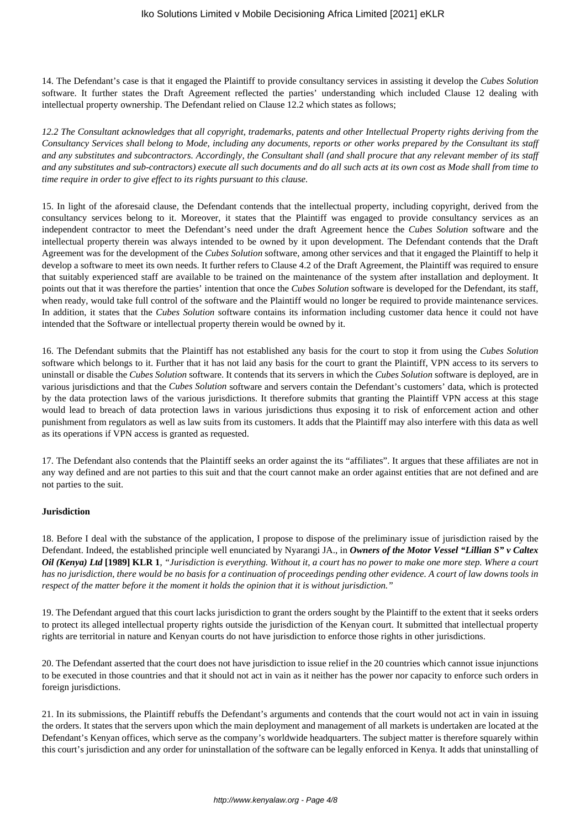14. The Defendant's case is that it engaged the Plaintiff to provide consultancy services in assisting it develop the *Cubes Solution* software. It further states the Draft Agreement reflected the parties' understanding which included Clause 12 dealing with intellectual property ownership. The Defendant relied on Clause 12.2 which states as follows;

*12.2 The Consultant acknowledges that all copyright, trademarks, patents and other Intellectual Property rights deriving from the Consultancy Services shall belong to Mode, including any documents, reports or other works prepared by the Consultant its staff and any substitutes and subcontractors. Accordingly, the Consultant shall (and shall procure that any relevant member of its staff and any substitutes and sub-contractors) execute all such documents and do all such acts at its own cost as Mode shall from time to time require in order to give effect to its rights pursuant to this clause.*

15. In light of the aforesaid clause, the Defendant contends that the intellectual property, including copyright, derived from the consultancy services belong to it. Moreover, it states that the Plaintiff was engaged to provide consultancy services as an independent contractor to meet the Defendant's need under the draft Agreement hence the *Cubes Solution* software and the intellectual property therein was always intended to be owned by it upon development. The Defendant contends that the Draft Agreement was for the development of the *Cubes Solution* software, among other services and that it engaged the Plaintiff to help it develop a software to meet its own needs. It further refers to Clause 4.2 of the Draft Agreement, the Plaintiff was required to ensure that suitably experienced staff are available to be trained on the maintenance of the system after installation and deployment. It points out that it was therefore the parties' intention that once the *Cubes Solution* software is developed for the Defendant, its staff, when ready, would take full control of the software and the Plaintiff would no longer be required to provide maintenance services. In addition, it states that the *Cubes Solution* software contains its information including customer data hence it could not have intended that the Software or intellectual property therein would be owned by it.

16. The Defendant submits that the Plaintiff has not established any basis for the court to stop it from using the *Cubes Solution* software which belongs to it. Further that it has not laid any basis for the court to grant the Plaintiff, VPN access to its servers to uninstall or disable the *Cubes Solution* software. It contends that its servers in which the *Cubes Solution* software is deployed, are in various jurisdictions and that the *Cubes Solution* software and servers contain the Defendant's customers' data, which is protected by the data protection laws of the various jurisdictions. It therefore submits that granting the Plaintiff VPN access at this stage would lead to breach of data protection laws in various jurisdictions thus exposing it to risk of enforcement action and other punishment from regulators as well as law suits from its customers. It adds that the Plaintiff may also interfere with this data as well as its operations if VPN access is granted as requested.

17. The Defendant also contends that the Plaintiff seeks an order against the its "affiliates". It argues that these affiliates are not in any way defined and are not parties to this suit and that the court cannot make an order against entities that are not defined and are not parties to the suit.

#### **Jurisdiction**

18. Before I deal with the substance of the application, I propose to dispose of the preliminary issue of jurisdiction raised by the Defendant. Indeed, the established principle well enunciated by Nyarangi JA., in *Owners of the Motor Vessel "Lillian S" v Caltex Oil (Kenya) Ltd* **[1989] KLR 1**, *"Jurisdiction is everything. Without it, a court has no power to make one more step. Where a court has no jurisdiction, there would be no basis for a continuation of proceedings pending other evidence. A court of law downs tools in respect of the matter before it the moment it holds the opinion that it is without jurisdiction."* 

19. The Defendant argued that this court lacks jurisdiction to grant the orders sought by the Plaintiff to the extent that it seeks orders to protect its alleged intellectual property rights outside the jurisdiction of the Kenyan court. It submitted that intellectual property rights are territorial in nature and Kenyan courts do not have jurisdiction to enforce those rights in other jurisdictions.

20. The Defendant asserted that the court does not have jurisdiction to issue relief in the 20 countries which cannot issue injunctions to be executed in those countries and that it should not act in vain as it neither has the power nor capacity to enforce such orders in foreign jurisdictions.

21. In its submissions, the Plaintiff rebuffs the Defendant's arguments and contends that the court would not act in vain in issuing the orders. It states that the servers upon which the main deployment and management of all markets is undertaken are located at the Defendant's Kenyan offices, which serve as the company's worldwide headquarters. The subject matter is therefore squarely within this court's jurisdiction and any order for uninstallation of the software can be legally enforced in Kenya. It adds that uninstalling of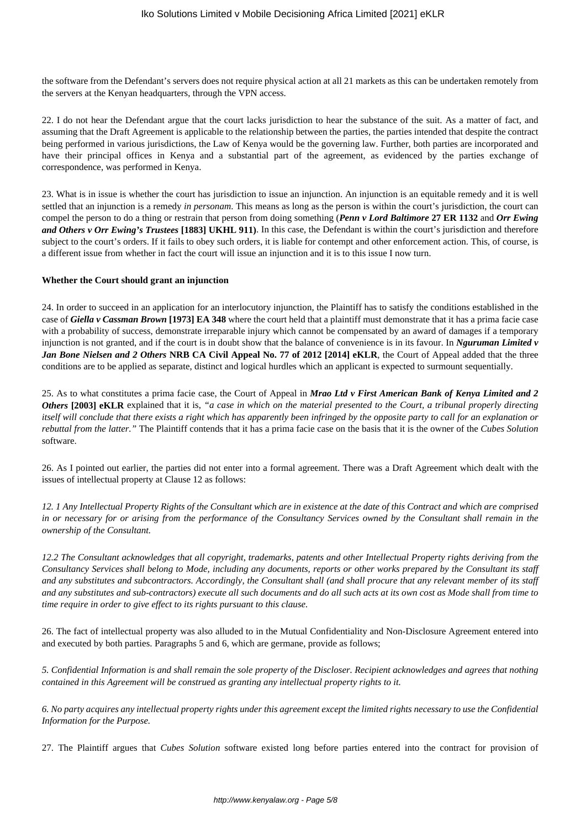the software from the Defendant's servers does not require physical action at all 21 markets as this can be undertaken remotely from the servers at the Kenyan headquarters, through the VPN access.

22. I do not hear the Defendant argue that the court lacks jurisdiction to hear the substance of the suit. As a matter of fact, and assuming that the Draft Agreement is applicable to the relationship between the parties, the parties intended that despite the contract being performed in various jurisdictions, the Law of Kenya would be the governing law. Further, both parties are incorporated and have their principal offices in Kenya and a substantial part of the agreement, as evidenced by the parties exchange of correspondence, was performed in Kenya.

23. What is in issue is whether the court has jurisdiction to issue an injunction. An injunction is an equitable remedy and it is well settled that an injunction is a remedy *in personam*. This means as long as the person is within the court's jurisdiction, the court can compel the person to do a thing or restrain that person from doing something (*Penn v Lord Baltimore* **27 ER 1132** and *Orr Ewing and Others v Orr Ewing's Trustees* **[1883] UKHL 911)**. In this case, the Defendant is within the court's jurisdiction and therefore subject to the court's orders. If it fails to obey such orders, it is liable for contempt and other enforcement action. This, of course, is a different issue from whether in fact the court will issue an injunction and it is to this issue I now turn.

#### **Whether the Court should grant an injunction**

24. In order to succeed in an application for an interlocutory injunction, the Plaintiff has to satisfy the conditions established in the case of *Giella v Cassman Brown* **[1973] EA 348** where the court held that a plaintiff must demonstrate that it has a prima facie case with a probability of success, demonstrate irreparable injury which cannot be compensated by an award of damages if a temporary injunction is not granted, and if the court is in doubt show that the balance of convenience is in its favour. In *Nguruman Limited v Jan Bone Nielsen and 2 Others* **NRB CA Civil Appeal No. 77 of 2012 [2014] eKLR**, the Court of Appeal added that the three conditions are to be applied as separate, distinct and logical hurdles which an applicant is expected to surmount sequentially.

25. As to what constitutes a prima facie case, the Court of Appeal in *Mrao Ltd v First American Bank of Kenya Limited and 2 Others* **[2003] eKLR** explained that it is, *"a case in which on the material presented to the Court, a tribunal properly directing itself will conclude that there exists a right which has apparently been infringed by the opposite party to call for an explanation or rebuttal from the latter."* The Plaintiff contends that it has a prima facie case on the basis that it is the owner of the *Cubes Solution* software.

26. As I pointed out earlier, the parties did not enter into a formal agreement. There was a Draft Agreement which dealt with the issues of intellectual property at Clause 12 as follows:

*12. 1 Any Intellectual Property Rights of the Consultant which are in existence at the date of this Contract and which are comprised in or necessary for or arising from the performance of the Consultancy Services owned by the Consultant shall remain in the ownership of the Consultant.*

*12.2 The Consultant acknowledges that all copyright, trademarks, patents and other Intellectual Property rights deriving from the Consultancy Services shall belong to Mode, including any documents, reports or other works prepared by the Consultant its staff and any substitutes and subcontractors. Accordingly, the Consultant shall (and shall procure that any relevant member of its staff and any substitutes and sub-contractors) execute all such documents and do all such acts at its own cost as Mode shall from time to time require in order to give effect to its rights pursuant to this clause.*

26. The fact of intellectual property was also alluded to in the Mutual Confidentiality and Non-Disclosure Agreement entered into and executed by both parties. Paragraphs 5 and 6, which are germane, provide as follows;

*5. Confidential Information is and shall remain the sole property of the Discloser. Recipient acknowledges and agrees that nothing contained in this Agreement will be construed as granting any intellectual property rights to it.* 

*6. No party acquires any intellectual property rights under this agreement except the limited rights necessary to use the Confidential Information for the Purpose.* 

27. The Plaintiff argues that *Cubes Solution* software existed long before parties entered into the contract for provision of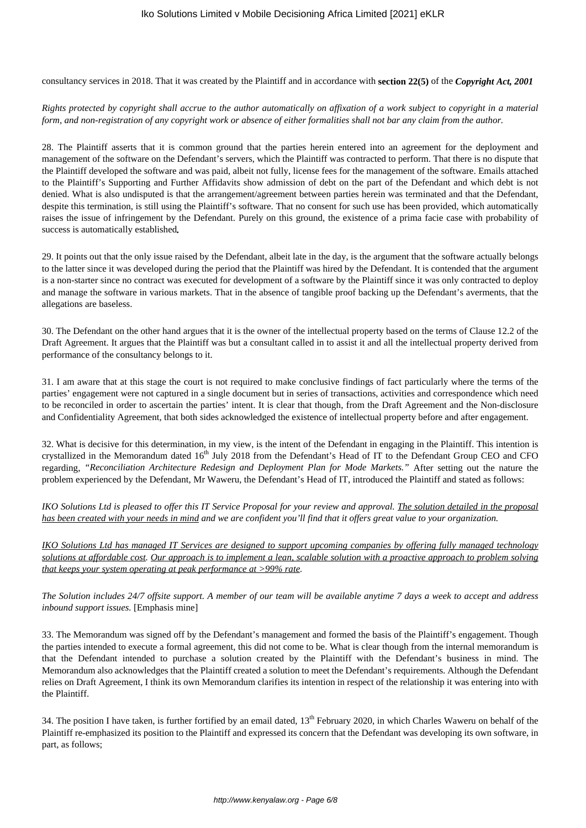consultancy services in 2018. That it was created by the Plaintiff and in accordance with **section 22(5)** of the *Copyright Act, 2001*

#### *Rights protected by copyright shall accrue to the author automatically on affixation of a work subject to copyright in a material form, and non-registration of any copyright work or absence of either formalities shall not bar any claim from the author.*

28. The Plaintiff asserts that it is common ground that the parties herein entered into an agreement for the deployment and management of the software on the Defendant's servers, which the Plaintiff was contracted to perform. That there is no dispute that the Plaintiff developed the software and was paid, albeit not fully, license fees for the management of the software. Emails attached to the Plaintiff's Supporting and Further Affidavits show admission of debt on the part of the Defendant and which debt is not denied. What is also undisputed is that the arrangement/agreement between parties herein was terminated and that the Defendant, despite this termination, is still using the Plaintiff's software. That no consent for such use has been provided, which automatically raises the issue of infringement by the Defendant. Purely on this ground, the existence of a prima facie case with probability of success is automatically established*.*

29. It points out that the only issue raised by the Defendant, albeit late in the day, is the argument that the software actually belongs to the latter since it was developed during the period that the Plaintiff was hired by the Defendant. It is contended that the argument is a non-starter since no contract was executed for development of a software by the Plaintiff since it was only contracted to deploy and manage the software in various markets. That in the absence of tangible proof backing up the Defendant's averments, that the allegations are baseless.

30. The Defendant on the other hand argues that it is the owner of the intellectual property based on the terms of Clause 12.2 of the Draft Agreement. It argues that the Plaintiff was but a consultant called in to assist it and all the intellectual property derived from performance of the consultancy belongs to it.

31. I am aware that at this stage the court is not required to make conclusive findings of fact particularly where the terms of the parties' engagement were not captured in a single document but in series of transactions, activities and correspondence which need to be reconciled in order to ascertain the parties' intent. It is clear that though, from the Draft Agreement and the Non-disclosure and Confidentiality Agreement, that both sides acknowledged the existence of intellectual property before and after engagement.

32. What is decisive for this determination, in my view, is the intent of the Defendant in engaging in the Plaintiff. This intention is crystallized in the Memorandum dated 16<sup>th</sup> July 2018 from the Defendant's Head of IT to the Defendant Group CEO and CFO regarding, *"Reconciliation Architecture Redesign and Deployment Plan for Mode Markets."* After setting out the nature the problem experienced by the Defendant, Mr Waweru, the Defendant's Head of IT, introduced the Plaintiff and stated as follows:

*IKO Solutions Ltd is pleased to offer this IT Service Proposal for your review and approval. The solution detailed in the proposal has been created with your needs in mind and we are confident you'll find that it offers great value to your organization.*

*IKO Solutions Ltd has managed IT Services are designed to support upcoming companies by offering fully managed technology solutions at affordable cost. Our approach is to implement a lean, scalable solution with a proactive approach to problem solving that keeps your system operating at peak performance at >99% rate.*

*The Solution includes 24/7 offsite support. A member of our team will be available anytime 7 days a week to accept and address inbound support issues.* [Emphasis mine]

33. The Memorandum was signed off by the Defendant's management and formed the basis of the Plaintiff's engagement. Though the parties intended to execute a formal agreement, this did not come to be. What is clear though from the internal memorandum is that the Defendant intended to purchase a solution created by the Plaintiff with the Defendant's business in mind. The Memorandum also acknowledges that the Plaintiff created a solution to meet the Defendant's requirements. Although the Defendant relies on Draft Agreement, I think its own Memorandum clarifies its intention in respect of the relationship it was entering into with the Plaintiff.

34. The position I have taken, is further fortified by an email dated, 13<sup>th</sup> February 2020, in which Charles Waweru on behalf of the Plaintiff re-emphasized its position to the Plaintiff and expressed its concern that the Defendant was developing its own software, in part, as follows;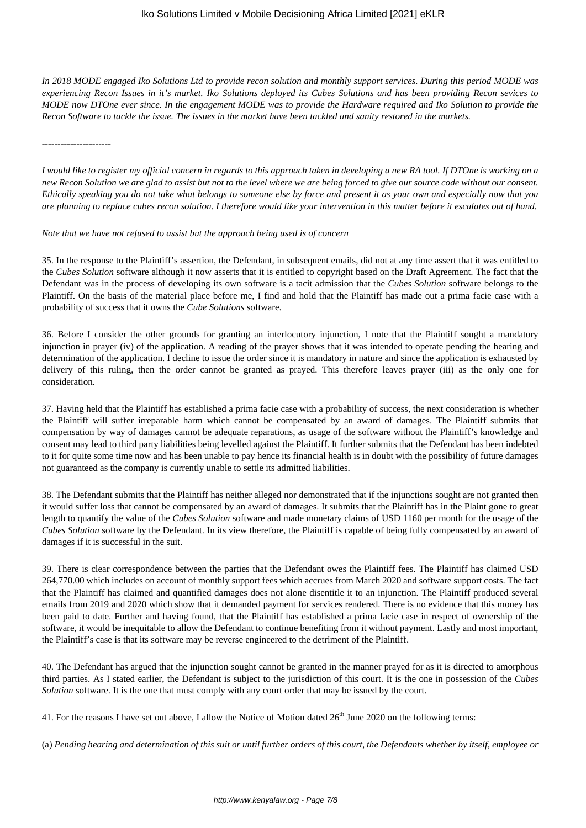*In 2018 MODE engaged Iko Solutions Ltd to provide recon solution and monthly support services. During this period MODE was experiencing Recon Issues in it's market. Iko Solutions deployed its Cubes Solutions and has been providing Recon sevices to MODE now DTOne ever since. In the engagement MODE was to provide the Hardware required and Iko Solution to provide the Recon Software to tackle the issue. The issues in the market have been tackled and sanity restored in the markets.* 

*----------------------*

*I would like to register my official concern in regards to this approach taken in developing a new RA tool. If DTOne is working on a new Recon Solution we are glad to assist but not to the level where we are being forced to give our source code without our consent. Ethically speaking you do not take what belongs to someone else by force and present it as your own and especially now that you are planning to replace cubes recon solution. I therefore would like your intervention in this matter before it escalates out of hand.*

*Note that we have not refused to assist but the approach being used is of concern*

35. In the response to the Plaintiff's assertion, the Defendant, in subsequent emails, did not at any time assert that it was entitled to the *Cubes Solution* software although it now asserts that it is entitled to copyright based on the Draft Agreement. The fact that the Defendant was in the process of developing its own software is a tacit admission that the *Cubes Solution* software belongs to the Plaintiff. On the basis of the material place before me, I find and hold that the Plaintiff has made out a prima facie case with a probability of success that it owns the *Cube Solutions* software.

36. Before I consider the other grounds for granting an interlocutory injunction, I note that the Plaintiff sought a mandatory injunction in prayer (iv) of the application. A reading of the prayer shows that it was intended to operate pending the hearing and determination of the application. I decline to issue the order since it is mandatory in nature and since the application is exhausted by delivery of this ruling, then the order cannot be granted as prayed. This therefore leaves prayer (iii) as the only one for consideration.

37. Having held that the Plaintiff has established a prima facie case with a probability of success, the next consideration is whether the Plaintiff will suffer irreparable harm which cannot be compensated by an award of damages. The Plaintiff submits that compensation by way of damages cannot be adequate reparations, as usage of the software without the Plaintiff's knowledge and consent may lead to third party liabilities being levelled against the Plaintiff. It further submits that the Defendant has been indebted to it for quite some time now and has been unable to pay hence its financial health is in doubt with the possibility of future damages not guaranteed as the company is currently unable to settle its admitted liabilities.

38. The Defendant submits that the Plaintiff has neither alleged nor demonstrated that if the injunctions sought are not granted then it would suffer loss that cannot be compensated by an award of damages. It submits that the Plaintiff has in the Plaint gone to great length to quantify the value of the *Cubes Solution* software and made monetary claims of USD 1160 per month for the usage of the *Cubes Solution* software by the Defendant. In its view therefore, the Plaintiff is capable of being fully compensated by an award of damages if it is successful in the suit.

39. There is clear correspondence between the parties that the Defendant owes the Plaintiff fees. The Plaintiff has claimed USD 264,770.00 which includes on account of monthly support fees which accrues from March 2020 and software support costs. The fact that the Plaintiff has claimed and quantified damages does not alone disentitle it to an injunction. The Plaintiff produced several emails from 2019 and 2020 which show that it demanded payment for services rendered. There is no evidence that this money has been paid to date. Further and having found, that the Plaintiff has established a prima facie case in respect of ownership of the software, it would be inequitable to allow the Defendant to continue benefiting from it without payment. Lastly and most important, the Plaintiff's case is that its software may be reverse engineered to the detriment of the Plaintiff.

40. The Defendant has argued that the injunction sought cannot be granted in the manner prayed for as it is directed to amorphous third parties. As I stated earlier, the Defendant is subject to the jurisdiction of this court. It is the one in possession of the *Cubes Solution* software. It is the one that must comply with any court order that may be issued by the court.

41. For the reasons I have set out above, I allow the Notice of Motion dated  $26<sup>th</sup>$  June 2020 on the following terms:

(a) *Pending hearing and determination of this suit or until further orders of this court, the Defendants whether by itself, employee or*